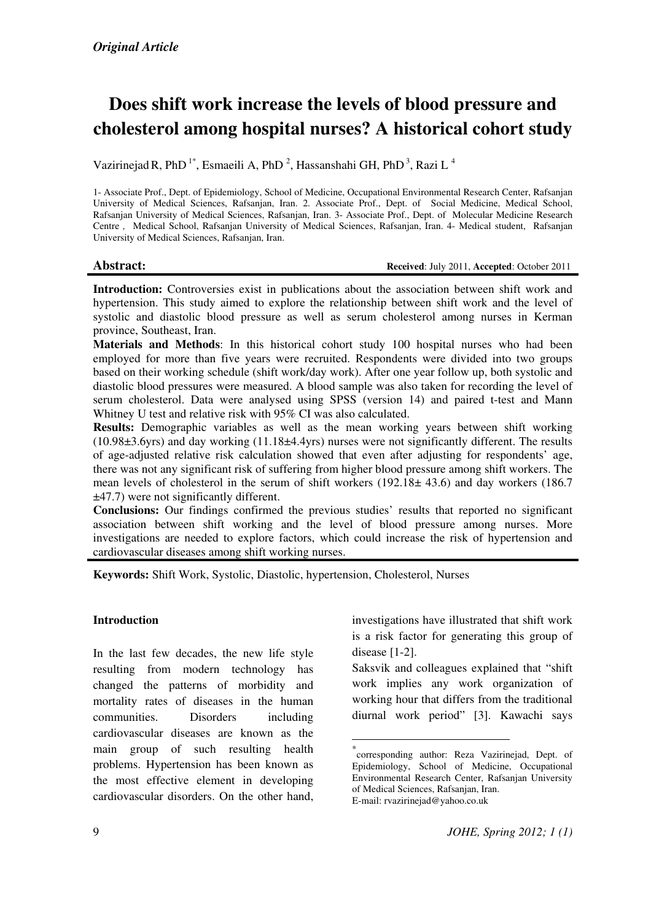# Does shift work increase the levels of blood pressure and cholesterol among hospital nurses? A historical cohort study

Vazirinejad R, PhD<sup>1\*</sup>, Esmaeili A, PhD<sup>2</sup>, Hassanshahi GH, PhD<sup>3</sup>, Razi L<sup>4</sup>

1- Associate Prof., Dept. of Epidemiology, School of Medicine, Occupational Environmental Research Center, Rafsanjan University of Medical Sciences, Rafsanjan, Iran. 2. Associate Prof., Dept. of Social Medicine, Medical School, Rafsanjan University of Medical Sciences, Rafsanjan, Iran. 3- Associate Prof., Dept. of Molecular Medicine Research Centre , Medical School, Rafsanjan University of Medical Sciences, Rafsanjan, Iran. 4- Medical student, Rafsanjan University of Medical Sciences, Rafsanjan, Iran.

#### Abstract: **Received:** July 2011, Accepted: October 2011

Introduction: Controversies exist in publications about the association between shift work and hypertension. This study aimed to explore the relationship between shift work and the level of systolic and diastolic blood pressure as well as serum cholesterol among nurses in Kerman province, Southeast, Iran.

Materials and Methods: In this historical cohort study 100 hospital nurses who had been employed for more than five years were recruited. Respondents were divided into two groups based on their working schedule (shift work/day work). After one year follow up, both systolic and diastolic blood pressures were measured. A blood sample was also taken for recording the level of serum cholesterol. Data were analysed using SPSS (version 14) and paired t-test and Mann Whitney U test and relative risk with 95% CI was also calculated.

Results: Demographic variables as well as the mean working years between shift working  $(10.98\pm3.6)$  and day working  $(11.18\pm4.4)$  yrs) nurses were not significantly different. The results of age-adjusted relative risk calculation showed that even after adjusting for respondents' age, there was not any significant risk of suffering from higher blood pressure among shift workers. The mean levels of cholesterol in the serum of shift workers (192.18± 43.6) and day workers (186.7 ±47.7) were not significantly different.

Conclusions: Our findings confirmed the previous studies' results that reported no significant association between shift working and the level of blood pressure among nurses. More investigations are needed to explore factors, which could increase the risk of hypertension and cardiovascular diseases among shift working nurses.

 $\overline{a}$ 

Keywords: Shift Work, Systolic, Diastolic, hypertension, Cholesterol, Nurses

#### Introduction

In the last few decades, the new life style resulting from modern technology has changed the patterns of morbidity and mortality rates of diseases in the human communities. Disorders including cardiovascular diseases are known as the main group of such resulting health problems. Hypertension has been known as the most effective element in developing cardiovascular disorders. On the other hand, investigations have illustrated that shift work is a risk factor for generating this group of disease [1-2].

Saksvik and colleagues explained that "shift work implies any work organization of working hour that differs from the traditional diurnal work period" [3]. Kawachi says

<sup>\*</sup> corresponding author: Reza Vazirinejad, Dept. of Epidemiology, School of Medicine, Occupational Environmental Research Center, Rafsanjan University of Medical Sciences, Rafsanjan, Iran. E-mail: rvazirinejad@yahoo.co.uk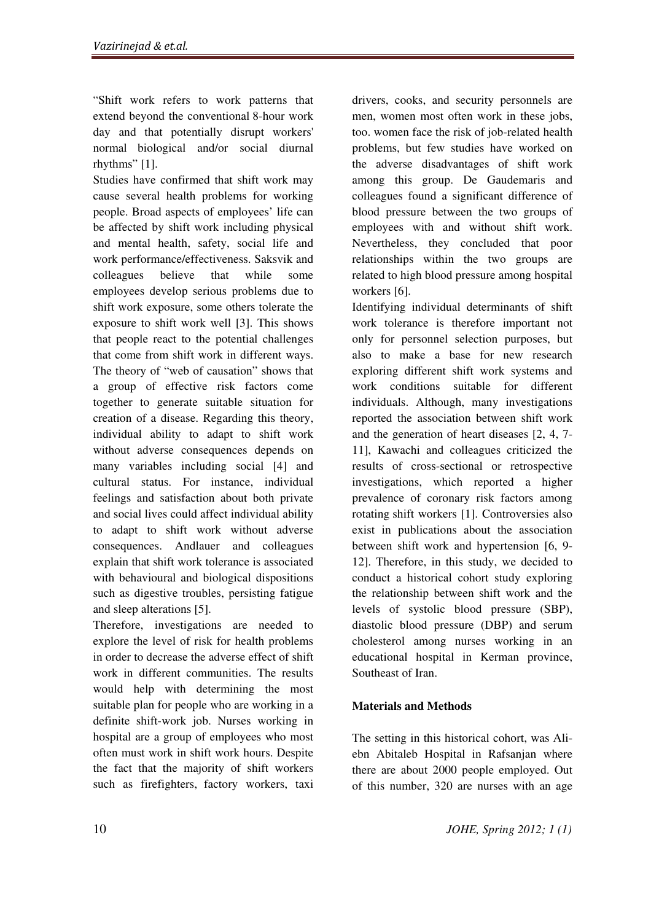"Shift work refers to work patterns that extend beyond the conventional 8-hour work day and that potentially disrupt workers' normal biological and/or social diurnal rhythms" [1].

Studies have confirmed that shift work may cause several health problems for working people. Broad aspects of employees' life can be affected by shift work including physical and mental health, safety, social life and work performance/effectiveness. Saksvik and colleagues believe that while some employees develop serious problems due to shift work exposure, some others tolerate the exposure to shift work well [3]. This shows that people react to the potential challenges that come from shift work in different ways. The theory of "web of causation" shows that a group of effective risk factors come together to generate suitable situation for creation of a disease. Regarding this theory, individual ability to adapt to shift work without adverse consequences depends on many variables including social [4] and cultural status. For instance, individual feelings and satisfaction about both private and social lives could affect individual ability to adapt to shift work without adverse consequences. Andlauer and colleagues explain that shift work tolerance is associated with behavioural and biological dispositions such as digestive troubles, persisting fatigue and sleep alterations [5].

Therefore, investigations are needed to explore the level of risk for health problems in order to decrease the adverse effect of shift work in different communities. The results would help with determining the most suitable plan for people who are working in a definite shift-work job. Nurses working in hospital are a group of employees who most often must work in shift work hours. Despite the fact that the majority of shift workers such as firefighters, factory workers, taxi

drivers, cooks, and security personnels are men, women most often work in these jobs, too. women face the risk of job-related health problems, but few studies have worked on the adverse disadvantages of shift work among this group. De Gaudemaris and colleagues found a significant difference of blood pressure between the two groups of employees with and without shift work. Nevertheless, they concluded that poor relationships within the two groups are related to high blood pressure among hospital workers [6].

Identifying individual determinants of shift work tolerance is therefore important not only for personnel selection purposes, but also to make a base for new research exploring different shift work systems and work conditions suitable for different individuals. Although, many investigations reported the association between shift work and the generation of heart diseases [2, 4, 7- 11], Kawachi and colleagues criticized the results of cross-sectional or retrospective investigations, which reported a higher prevalence of coronary risk factors among rotating shift workers [1]. Controversies also exist in publications about the association between shift work and hypertension [6, 9- 12]. Therefore, in this study, we decided to conduct a historical cohort study exploring the relationship between shift work and the levels of systolic blood pressure (SBP), diastolic blood pressure (DBP) and serum cholesterol among nurses working in an educational hospital in Kerman province, Southeast of Iran.

## Materials and Methods

The setting in this historical cohort, was Aliebn Abitaleb Hospital in Rafsanjan where there are about 2000 people employed. Out of this number, 320 are nurses with an age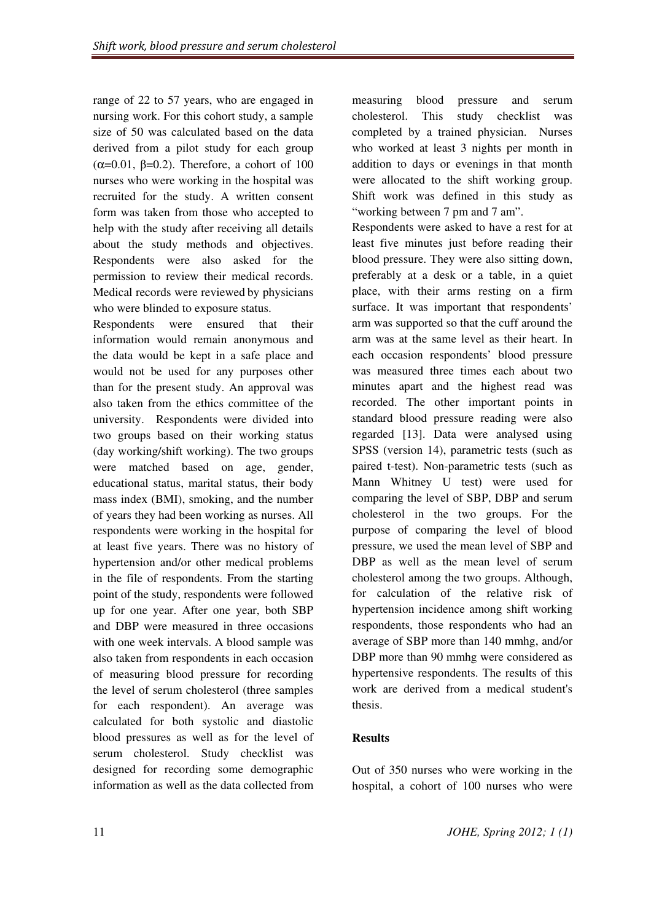range of 22 to 57 years, who are engaged in nursing work. For this cohort study, a sample size of 50 was calculated based on the data derived from a pilot study for each group ( $\alpha$ =0.01,  $\beta$ =0.2). Therefore, a cohort of 100 nurses who were working in the hospital was recruited for the study. A written consent form was taken from those who accepted to help with the study after receiving all details about the study methods and objectives. Respondents were also asked for the permission to review their medical records. Medical records were reviewed by physicians who were blinded to exposure status.

Respondents were ensured that their information would remain anonymous and the data would be kept in a safe place and would not be used for any purposes other than for the present study. An approval was also taken from the ethics committee of the university. Respondents were divided into two groups based on their working status (day working/shift working). The two groups were matched based on age, gender, educational status, marital status, their body mass index (BMI), smoking, and the number of years they had been working as nurses. All respondents were working in the hospital for at least five years. There was no history of hypertension and/or other medical problems in the file of respondents. From the starting point of the study, respondents were followed up for one year. After one year, both SBP and DBP were measured in three occasions with one week intervals. A blood sample was also taken from respondents in each occasion of measuring blood pressure for recording the level of serum cholesterol (three samples for each respondent). An average was calculated for both systolic and diastolic blood pressures as well as for the level of serum cholesterol. Study checklist was designed for recording some demographic information as well as the data collected from measuring blood pressure and serum cholesterol. This study checklist was completed by a trained physician. Nurses who worked at least 3 nights per month in addition to days or evenings in that month were allocated to the shift working group. Shift work was defined in this study as "working between 7 pm and 7 am".

Respondents were asked to have a rest for at least five minutes just before reading their blood pressure. They were also sitting down, preferably at a desk or a table, in a quiet place, with their arms resting on a firm surface. It was important that respondents' arm was supported so that the cuff around the arm was at the same level as their heart. In each occasion respondents' blood pressure was measured three times each about two minutes apart and the highest read was recorded. The other important points in standard blood pressure reading were also regarded [13]. Data were analysed using SPSS (version 14), parametric tests (such as paired t-test). Non-parametric tests (such as Mann Whitney U test) were used for comparing the level of SBP, DBP and serum cholesterol in the two groups. For the purpose of comparing the level of blood pressure, we used the mean level of SBP and DBP as well as the mean level of serum cholesterol among the two groups. Although, for calculation of the relative risk of hypertension incidence among shift working respondents, those respondents who had an average of SBP more than 140 mmhg, and/or DBP more than 90 mmhg were considered as hypertensive respondents. The results of this work are derived from a medical student's thesis.

## Results

Out of 350 nurses who were working in the hospital, a cohort of 100 nurses who were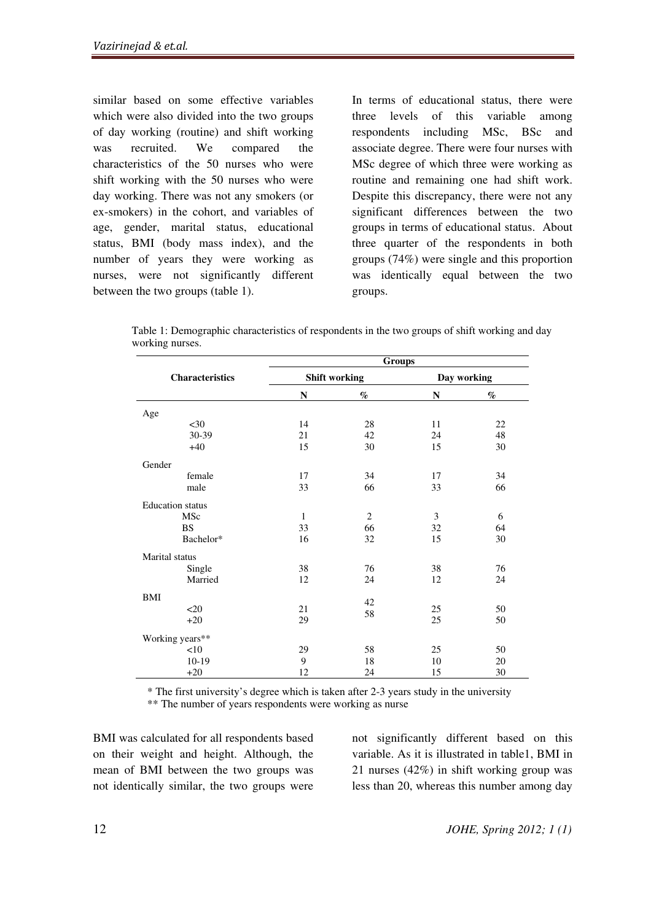similar based on some effective variables which were also divided into the two groups of day working (routine) and shift working was recruited. We compared the characteristics of the 50 nurses who were shift working with the 50 nurses who were day working. There was not any smokers (or ex-smokers) in the cohort, and variables of age, gender, marital status, educational status, BMI (body mass index), and the number of years they were working as nurses, were not significantly different between the two groups (table 1).

In terms of educational status, there were three levels of this variable among respondents including MSc, BSc and associate degree. There were four nurses with MSc degree of which three were working as routine and remaining one had shift work. Despite this discrepancy, there were not any significant differences between the two groups in terms of educational status. About three quarter of the respondents in both groups (74%) were single and this proportion was identically equal between the two groups.

| Table 1: Demographic characteristics of respondents in the two groups of shift working and day |  |  |
|------------------------------------------------------------------------------------------------|--|--|
| working nurses.                                                                                |  |  |

|                         | Groups       |                      |             |      |  |  |  |
|-------------------------|--------------|----------------------|-------------|------|--|--|--|
| <b>Characteristics</b>  |              | <b>Shift working</b> | Day working |      |  |  |  |
|                         | N            | %                    | N           | $\%$ |  |  |  |
| Age                     |              |                      |             |      |  |  |  |
| $30$                    | 14           | 28                   | 11          | 22   |  |  |  |
| 30-39                   | 21           | 42                   | 24          | 48   |  |  |  |
| $+40$                   | 15           | 30                   | 15          | 30   |  |  |  |
| Gender                  |              |                      |             |      |  |  |  |
| female                  | 17           | 34                   | 17          | 34   |  |  |  |
| male                    | 33           | 66                   | 33          | 66   |  |  |  |
| <b>Education</b> status |              |                      |             |      |  |  |  |
| MSc                     | $\mathbf{1}$ | 2                    | 3           | 6    |  |  |  |
| <b>BS</b>               | 33           | 66                   | 32          | 64   |  |  |  |
| Bachelor*               | 16           | 32                   | 15          | 30   |  |  |  |
| Marital status          |              |                      |             |      |  |  |  |
| Single                  | 38           | 76                   | 38          | 76   |  |  |  |
| Married                 | 12           | 24                   | 12          | 24   |  |  |  |
| <b>BMI</b>              |              | 42                   |             |      |  |  |  |
| $20$                    | 21           |                      | 25          | 50   |  |  |  |
| $+20$                   | 29           | 58                   | 25          | 50   |  |  |  |
| Working years**         |              |                      |             |      |  |  |  |
| <10                     | 29           | 58                   | 25          | 50   |  |  |  |
| $10-19$                 | 9            | 18                   | 10          | 20   |  |  |  |
| $+20$                   | 12           | 24                   | 15          | 30   |  |  |  |

\* The first university's degree which is taken after 2-3 years study in the university \*\* The number of years respondents were working as nurse

BMI was calculated for all respondents based on their weight and height. Although, the mean of BMI between the two groups was not identically similar, the two groups were not significantly different based on this variable. As it is illustrated in table1, BMI in 21 nurses (42%) in shift working group was less than 20, whereas this number among day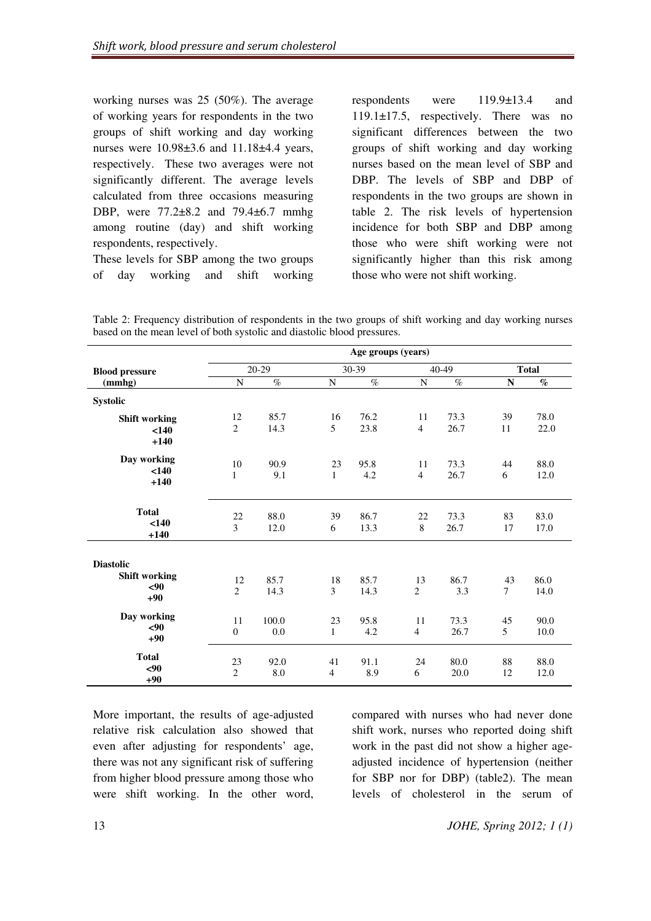working nurses was 25 (50%). The average of working years for respondents in the two groups of shift working and day working nurses were 10.98±3.6 and 11.18±4.4 years, respectively. These two averages were not significantly different. The average levels calculated from three occasions measuring DBP, were 77.2±8.2 and 79.4±6.7 mmhg among routine (day) and shift working respondents, respectively.

These levels for SBP among the two groups of day working and shift working respondents were 119.9±13.4 and 119.1±17.5, respectively. There was no significant differences between the two groups of shift working and day working nurses based on the mean level of SBP and DBP. The levels of SBP and DBP of respondents in the two groups are shown in table 2. The risk levels of hypertension incidence for both SBP and DBP among those who were shift working were not significantly higher than this risk among those who were not shift working.

Table 2: Frequency distribution of respondents in the two groups of shift working and day working nurses based on the mean level of both systolic and diastolic blood pressures.

|                       | Age groups (years) |       |                |       |                |           |                |              |  |
|-----------------------|--------------------|-------|----------------|-------|----------------|-----------|----------------|--------------|--|
| <b>Blood pressure</b> | 20-29              |       |                | 30-39 |                | $40 - 49$ |                | <b>Total</b> |  |
| (mmhg)                | N                  | $\%$  | $\mathbf N$    | $\%$  | $\mathbf N$    | $\%$      | $\mathbf N$    | $\%$         |  |
| <b>Systolic</b>       |                    |       |                |       |                |           |                |              |  |
| <b>Shift working</b>  | 12                 | 85.7  | 16             | 76.2  | 11             | 73.3      | 39             | 78.0         |  |
| < 140                 | 2                  | 14.3  | 5              | 23.8  | $\overline{4}$ | 26.7      | 11             | 22.0         |  |
| $+140$                |                    |       |                |       |                |           |                |              |  |
| Day working           | 10                 | 90.9  | 23             | 95.8  | 11             | 73.3      | 44             | 88.0         |  |
| < 140                 | $\mathbf{1}$       | 9.1   | $\mathbf{1}$   | 4.2   | $\overline{4}$ | 26.7      | 6              | 12.0         |  |
| $+140$                |                    |       |                |       |                |           |                |              |  |
|                       |                    |       |                |       |                |           |                |              |  |
| <b>Total</b><br>< 140 | 22                 | 88.0  | 39             | 86.7  | 22             | 73.3      | 83             | 83.0         |  |
| $+140$                | 3                  | 12.0  | 6              | 13.3  | 8              | 26.7      | 17             | 17.0         |  |
|                       |                    |       |                |       |                |           |                |              |  |
| <b>Diastolic</b>      |                    |       |                |       |                |           |                |              |  |
| <b>Shift working</b>  | 12                 | 85.7  | 18             | 85.7  | 13             | 86.7      | 43             | 86.0         |  |
| $90$                  | $\overline{2}$     | 14.3  | 3              | 14.3  | $\overline{2}$ | 3.3       | $\overline{7}$ | 14.0         |  |
| $+90$                 |                    |       |                |       |                |           |                |              |  |
| Day working           | 11                 | 100.0 | 23             | 95.8  | 11             | 73.3      | 45             | 90.0         |  |
| $90$                  | $\mathbf{0}$       | 0.0   | $\mathbf{1}$   | 4.2   | $\overline{4}$ | 26.7      | 5              | 10.0         |  |
| $+90$                 |                    |       |                |       |                |           |                |              |  |
| <b>Total</b>          | 23                 | 92.0  | 41             | 91.1  | 24             | 80.0      | 88             | 88.0         |  |
| $90$                  | $\overline{c}$     | 8.0   | $\overline{4}$ | 8.9   | 6              | 20.0      | 12             | 12.0         |  |
| $+90$                 |                    |       |                |       |                |           |                |              |  |

More important, the results of age-adjusted relative risk calculation also showed that even after adjusting for respondents' age, there was not any significant risk of suffering from higher blood pressure among those who were shift working. In the other word, compared with nurses who had never done shift work, nurses who reported doing shift work in the past did not show a higher ageadjusted incidence of hypertension (neither for SBP nor for DBP) (table2). The mean levels of cholesterol in the serum of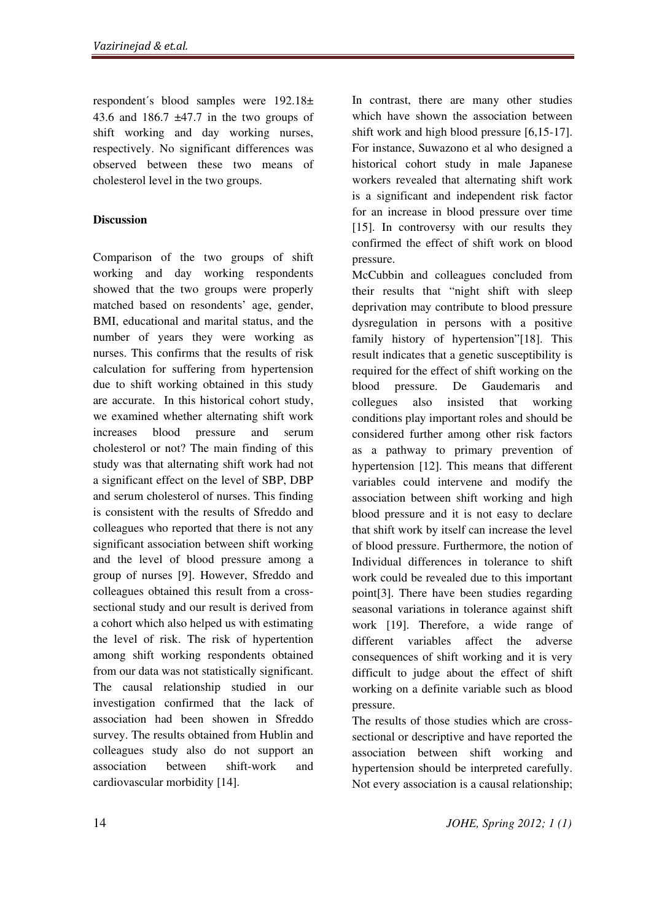respondent's blood samples were  $192.18\pm$ 43.6 and 186.7  $\pm$ 47.7 in the two groups of shift working and day working nurses, respectively. No significant differences was observed between these two means of cholesterol level in the two groups.

#### **Discussion**

Comparison of the two groups of shift working and day working respondents showed that the two groups were properly matched based on resondents' age, gender, BMI, educational and marital status, and the number of years they were working as nurses. This confirms that the results of risk calculation for suffering from hypertension due to shift working obtained in this study are accurate. In this historical cohort study, we examined whether alternating shift work increases blood pressure and serum cholesterol or not? The main finding of this study was that alternating shift work had not a significant effect on the level of SBP, DBP and serum cholesterol of nurses. This finding is consistent with the results of Sfreddo and colleagues who reported that there is not any significant association between shift working and the level of blood pressure among a group of nurses [9]. However, Sfreddo and colleagues obtained this result from a crosssectional study and our result is derived from a cohort which also helped us with estimating the level of risk. The risk of hypertention among shift working respondents obtained from our data was not statistically significant. The causal relationship studied in our investigation confirmed that the lack of association had been showen in Sfreddo survey. The results obtained from Hublin and colleagues study also do not support an association between shift-work and cardiovascular morbidity [14].

In contrast, there are many other studies which have shown the association between shift work and high blood pressure [6,15-17]. For instance, Suwazono et al who designed a historical cohort study in male Japanese workers revealed that alternating shift work is a significant and independent risk factor for an increase in blood pressure over time [15]. In controversy with our results they confirmed the effect of shift work on blood pressure.

McCubbin and colleagues concluded from their results that "night shift with sleep deprivation may contribute to blood pressure dysregulation in persons with a positive family history of hypertension"[18]. This result indicates that a genetic susceptibility is required for the effect of shift working on the blood pressure. De Gaudemaris and collegues also insisted that working conditions play important roles and should be considered further among other risk factors as a pathway to primary prevention of hypertension [12]. This means that different variables could intervene and modify the association between shift working and high blood pressure and it is not easy to declare that shift work by itself can increase the level of blood pressure. Furthermore, the notion of Individual differences in tolerance to shift work could be revealed due to this important point[3]. There have been studies regarding seasonal variations in tolerance against shift work [19]. Therefore, a wide range of different variables affect the adverse consequences of shift working and it is very difficult to judge about the effect of shift working on a definite variable such as blood pressure.

The results of those studies which are crosssectional or descriptive and have reported the association between shift working and hypertension should be interpreted carefully. Not every association is a causal relationship;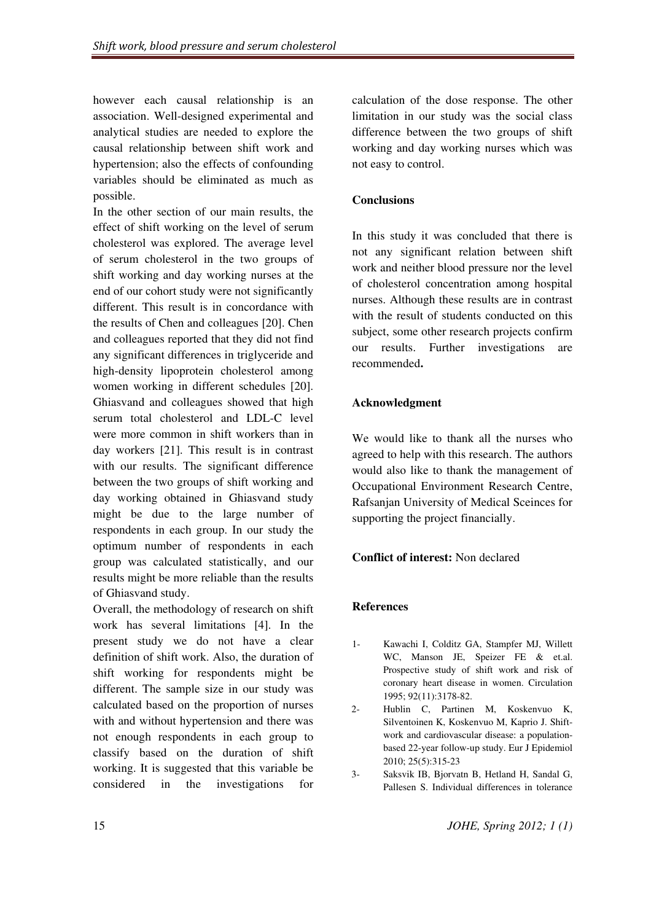however each causal relationship is an association. Well-designed experimental and analytical studies are needed to explore the causal relationship between shift work and hypertension; also the effects of confounding variables should be eliminated as much as possible.

In the other section of our main results, the effect of shift working on the level of serum cholesterol was explored. The average level of serum cholesterol in the two groups of shift working and day working nurses at the end of our cohort study were not significantly different. This result is in concordance with the results of Chen and colleagues [20]. Chen and colleagues reported that they did not find any significant differences in triglyceride and high-density lipoprotein cholesterol among women working in different schedules [20]. Ghiasvand and colleagues showed that high serum total cholesterol and LDL-C level were more common in shift workers than in day workers [21]. This result is in contrast with our results. The significant difference between the two groups of shift working and day working obtained in Ghiasvand study might be due to the large number of respondents in each group. In our study the optimum number of respondents in each group was calculated statistically, and our results might be more reliable than the results of Ghiasvand study.

Overall, the methodology of research on shift work has several limitations [4]. In the present study we do not have a clear definition of shift work. Also, the duration of shift working for respondents might be different. The sample size in our study was calculated based on the proportion of nurses with and without hypertension and there was not enough respondents in each group to classify based on the duration of shift working. It is suggested that this variable be considered in the investigations for

calculation of the dose response. The other limitation in our study was the social class difference between the two groups of shift working and day working nurses which was not easy to control.

#### **Conclusions**

In this study it was concluded that there is not any significant relation between shift work and neither blood pressure nor the level of cholesterol concentration among hospital nurses. Although these results are in contrast with the result of students conducted on this subject, some other research projects confirm our results. Further investigations are recommended.

#### Acknowledgment

We would like to thank all the nurses who agreed to help with this research. The authors would also like to thank the management of Occupational Environment Research Centre, Rafsanjan University of Medical Sceinces for supporting the project financially.

#### Conflict of interest: Non declared

#### References

- 1- Kawachi I, Colditz GA, Stampfer MJ, Willett WC, Manson JE, Speizer FE & et.al. Prospective study of shift work and risk of coronary heart disease in women. Circulation 1995; 92(11):3178-82.
- 2- Hublin C, Partinen M, Koskenvuo K, Silventoinen K, Koskenvuo M, Kaprio J. Shiftwork and cardiovascular disease: a populationbased 22-year follow-up study. Eur J Epidemiol 2010; 25(5):315-23
- 3- Saksvik IB, Bjorvatn B, Hetland H, Sandal G, Pallesen S. Individual differences in tolerance